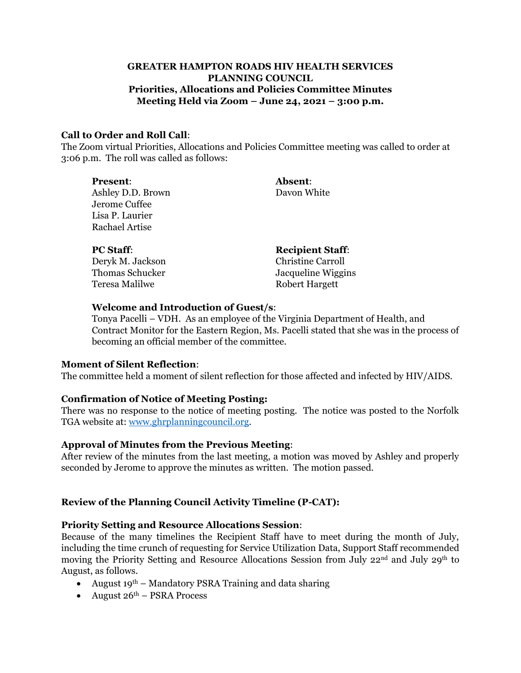### **GREATER HAMPTON ROADS HIV HEALTH SERVICES PLANNING COUNCIL Priorities, Allocations and Policies Committee Minutes Meeting Held via Zoom – June 24, 2021 – 3:00 p.m.**

#### **Call to Order and Roll Call**:

The Zoom virtual Priorities, Allocations and Policies Committee meeting was called to order at 3:06 p.m. The roll was called as follows:

| <b>Present:</b>                          | Absent:                  |
|------------------------------------------|--------------------------|
| Ashley D.D. Brown                        | Davon White              |
| Jerome Cuffee                            |                          |
| Lisa P. Laurier<br><b>Rachael Artise</b> |                          |
|                                          |                          |
|                                          |                          |
| <b>PC Staff:</b>                         | <b>Recipient Staff:</b>  |
| Deryk M. Jackson                         | <b>Christine Carroll</b> |
| Thomas Schucker                          | Jacqueline Wiggins       |
| Teresa Malilwe                           | <b>Robert Hargett</b>    |

#### **Welcome and Introduction of Guest/s**:

Tonya Pacelli – VDH. As an employee of the Virginia Department of Health, and Contract Monitor for the Eastern Region, Ms. Pacelli stated that she was in the process of becoming an official member of the committee.

### **Moment of Silent Reflection**:

The committee held a moment of silent reflection for those affected and infected by HIV/AIDS.

### **Confirmation of Notice of Meeting Posting:**

There was no response to the notice of meeting posting. The notice was posted to the Norfolk TGA website at: [www.ghrplanningcouncil.org.](http://www.ghrplanningcouncil.org/)

### **Approval of Minutes from the Previous Meeting**:

After review of the minutes from the last meeting, a motion was moved by Ashley and properly seconded by Jerome to approve the minutes as written. The motion passed.

### **Review of the Planning Council Activity Timeline (P-CAT):**

### **Priority Setting and Resource Allocations Session**:

Because of the many timelines the Recipient Staff have to meet during the month of July, including the time crunch of requesting for Service Utilization Data, Support Staff recommended moving the Priority Setting and Resource Allocations Session from July 22<sup>nd</sup> and July 29<sup>th</sup> to August, as follows.

- August 19<sup>th</sup> Mandatory PSRA Training and data sharing
- August  $26<sup>th</sup>$  PSRA Process